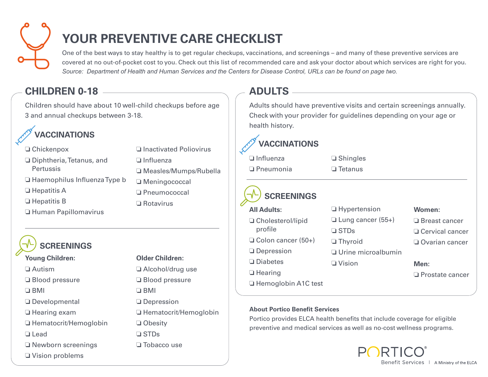

# **YOUR PREVENTIVE CARE CHECKLIST**

One of the best ways to stay healthy is to get regular checkups, vaccinations, and screenings – and many of these preventive services are covered at no out-of-pocket cost to you. Check out this list of recommended care and ask your doctor about which services are right for you. *Source: Department of Health and Human Services and the Centers for Disease Control, URLs can be found on page two.* 

### **CHILDREN 0-18**

Children should have about 10 well-child checkups before age 3 and annual checkups between 3-18.



- $\Box$  Chickenpox
- $\Box$  Diphtheria, Tetanus, and **Pertussis**
- $\Box$  Haemophilus Influenza Type b
- $\Box$  Hepatitis A
- $\Box$  Hepatitis B
- o Human Papillomavirus

### **SCREENINGS**

#### **Young Children:**

 $\Box$  Autism

- $\Box$  Blood pressure
- $\square$  BMI
- $\Box$  Developmental
- $\Box$  Hearing exam
- □ Hematocrit/Hemoglobin
- o Lead
- $\Box$  Newborn screenings
- $\Box$  Vision problems

### $\Box$  Influenza o Measles/Mumps/Rubella □ Meningococcal o Pneumococcal  $\Box$  Rotavirus

 $\Box$  Inactivated Poliovirus

### **Older Children:**  $\Box$  Alcohol/drug use  $\Box$  Blood pressure  $\Box$  BMI **O** Depression  $\Box$  Hematocrit/Hemoglobin □ Obesity

- $\square$  STDs
- $\square$  Tobacco use

### **ADULTS**

Adults should have preventive visits and certain screenings annually. Check with your provider for guidelines depending on your age or health history.

> $\square$  Shingles  $\Box$  Tetanus

### **VACCINATIONS**

| □ Influenza      |  |
|------------------|--|
| $\Box$ Pneumonia |  |

## **SCREENINGS**

**All Adults:** □ Cholesterol/lipid profile  $\Box$  Colon cancer (50+)  $\Box$  Depression  $\square$  Diabetes  $\Box$  Hearing  $\square$  STDs  $\n *U* ision\n$ 

 $\Box$  Hypertension  $\Box$  Lung cancer (55+)  $\Box$  Thyroid  $\Box$  Urine microalbumin

#### **Women:**

- □ Breast cancer
- $\Box$  Cervical cancer
- $\Box$  Ovarian cancer

#### **Men:**

 $\Box$  Prostate cancer

### □ Hemoglobin A1C test

#### **About Portico Benefit Services**

Portico provides ELCA health benefits that include coverage for eligible preventive and medical services as well as no-cost wellness programs.